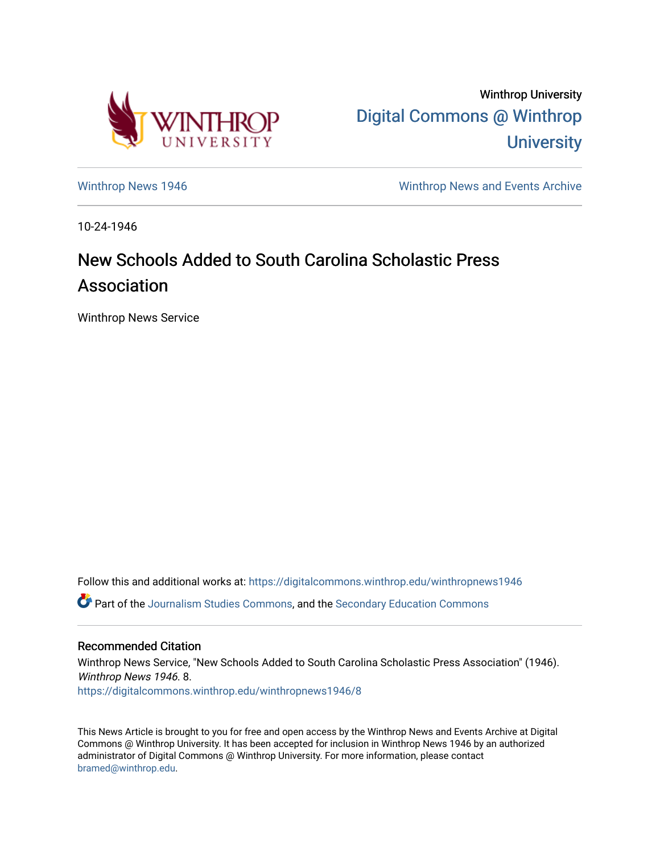

Winthrop University [Digital Commons @ Winthrop](https://digitalcommons.winthrop.edu/)  **University** 

[Winthrop News 1946](https://digitalcommons.winthrop.edu/winthropnews1946) Minthrop News and Events Archive

10-24-1946

## New Schools Added to South Carolina Scholastic Press Association

Winthrop News Service

Follow this and additional works at: [https://digitalcommons.winthrop.edu/winthropnews1946](https://digitalcommons.winthrop.edu/winthropnews1946?utm_source=digitalcommons.winthrop.edu%2Fwinthropnews1946%2F8&utm_medium=PDF&utm_campaign=PDFCoverPages)  Part of the [Journalism Studies Commons](http://network.bepress.com/hgg/discipline/333?utm_source=digitalcommons.winthrop.edu%2Fwinthropnews1946%2F8&utm_medium=PDF&utm_campaign=PDFCoverPages), and the [Secondary Education Commons](http://network.bepress.com/hgg/discipline/1382?utm_source=digitalcommons.winthrop.edu%2Fwinthropnews1946%2F8&utm_medium=PDF&utm_campaign=PDFCoverPages) 

## Recommended Citation

Winthrop News Service, "New Schools Added to South Carolina Scholastic Press Association" (1946). Winthrop News 1946. 8. [https://digitalcommons.winthrop.edu/winthropnews1946/8](https://digitalcommons.winthrop.edu/winthropnews1946/8?utm_source=digitalcommons.winthrop.edu%2Fwinthropnews1946%2F8&utm_medium=PDF&utm_campaign=PDFCoverPages) 

This News Article is brought to you for free and open access by the Winthrop News and Events Archive at Digital Commons @ Winthrop University. It has been accepted for inclusion in Winthrop News 1946 by an authorized administrator of Digital Commons @ Winthrop University. For more information, please contact [bramed@winthrop.edu.](mailto:bramed@winthrop.edu)